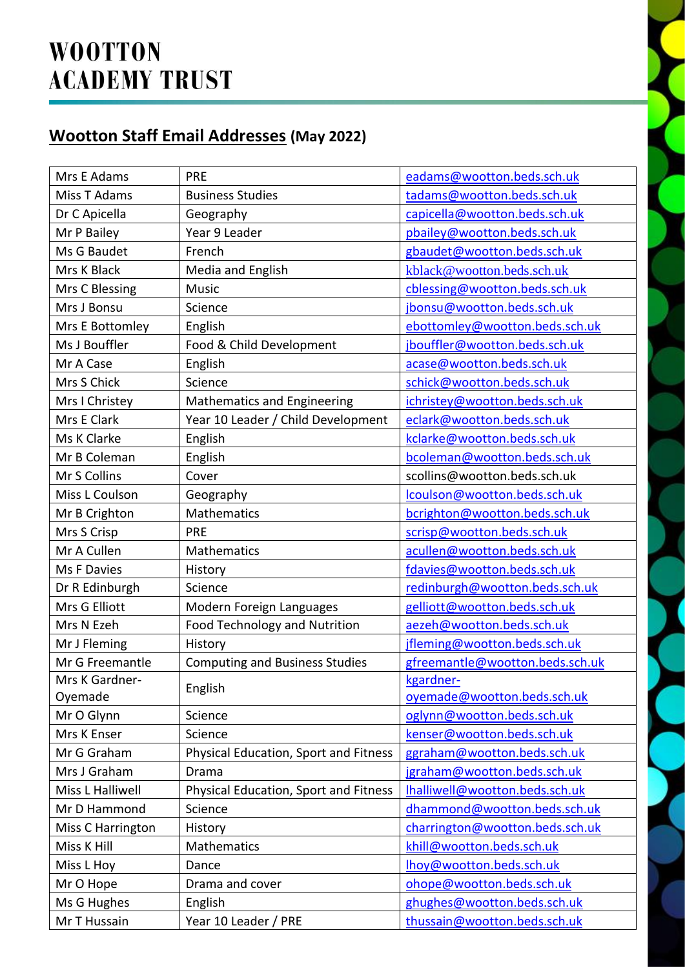## **Wootton Staff Email Addresses (May 2022)**

| Mrs E Adams       | <b>PRE</b>                            | eadams@wootton.beds.sch.uk      |
|-------------------|---------------------------------------|---------------------------------|
| Miss T Adams      | <b>Business Studies</b>               | tadams@wootton.beds.sch.uk      |
| Dr C Apicella     | Geography                             | capicella@wootton.beds.sch.uk   |
| Mr P Bailey       | Year 9 Leader                         | pbailey@wootton.beds.sch.uk     |
| Ms G Baudet       | French                                | gbaudet@wootton.beds.sch.uk     |
| Mrs K Black       | Media and English                     | kblack@wootton.beds.sch.uk      |
| Mrs C Blessing    | Music                                 | cblessing@wootton.beds.sch.uk   |
| Mrs J Bonsu       | Science                               | jbonsu@wootton.beds.sch.uk      |
| Mrs E Bottomley   | English                               | ebottomley@wootton.beds.sch.uk  |
| Ms J Bouffler     | Food & Child Development              | jbouffler@wootton.beds.sch.uk   |
| Mr A Case         | English                               | acase@wootton.beds.sch.uk       |
| Mrs S Chick       | Science                               | schick@wootton.beds.sch.uk      |
| Mrs I Christey    | <b>Mathematics and Engineering</b>    | ichristey@wootton.beds.sch.uk   |
| Mrs E Clark       | Year 10 Leader / Child Development    | eclark@wootton.beds.sch.uk      |
| Ms K Clarke       | English                               | kclarke@wootton.beds.sch.uk     |
| Mr B Coleman      | English                               | bcoleman@wootton.beds.sch.uk    |
| Mr S Collins      | Cover                                 | scollins@wootton.beds.sch.uk    |
| Miss L Coulson    | Geography                             | lcoulson@wootton.beds.sch.uk    |
| Mr B Crighton     | Mathematics                           | bcrighton@wootton.beds.sch.uk   |
| Mrs S Crisp       | <b>PRE</b>                            | scrisp@wootton.beds.sch.uk      |
| Mr A Cullen       | Mathematics                           | acullen@wootton.beds.sch.uk     |
| Ms F Davies       | History                               | fdavies@wootton.beds.sch.uk     |
| Dr R Edinburgh    | Science                               | redinburgh@wootton.beds.sch.uk  |
| Mrs G Elliott     | Modern Foreign Languages              | gelliott@wootton.beds.sch.uk    |
| Mrs N Ezeh        | Food Technology and Nutrition         | aezeh@wootton.beds.sch.uk       |
| Mr J Fleming      | History                               | jfleming@wootton.beds.sch.uk    |
| Mr G Freemantle   | <b>Computing and Business Studies</b> | gfreemantle@wootton.beds.sch.uk |
| Mrs K Gardner-    | English                               | kgardner-                       |
| Oyemade           |                                       | oyemade@wootton.beds.sch.uk     |
| Mr O Glynn        | Science                               | oglynn@wootton.beds.sch.uk      |
| Mrs K Enser       | Science                               | kenser@wootton.beds.sch.uk      |
| Mr G Graham       | Physical Education, Sport and Fitness | ggraham@wootton.beds.sch.uk     |
| Mrs J Graham      | Drama                                 | jgraham@wootton.beds.sch.uk     |
| Miss L Halliwell  | Physical Education, Sport and Fitness | Ihalliwell@wootton.beds.sch.uk  |
| Mr D Hammond      | Science                               | dhammond@wootton.beds.sch.uk    |
| Miss C Harrington | History                               | charrington@wootton.beds.sch.uk |
| Miss K Hill       | Mathematics                           | khill@wootton.beds.sch.uk       |
| Miss L Hoy        | Dance                                 | Ihoy@wootton.beds.sch.uk        |
| Mr O Hope         | Drama and cover                       | ohope@wootton.beds.sch.uk       |
| Ms G Hughes       | English                               | ghughes@wootton.beds.sch.uk     |
| Mr T Hussain      | Year 10 Leader / PRE                  | thussain@wootton.beds.sch.uk    |